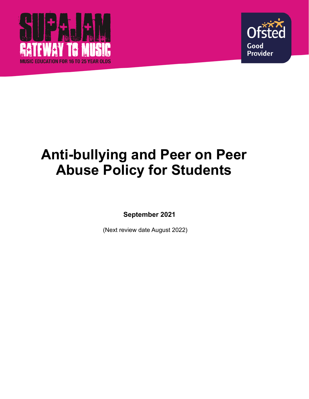



# **Anti-bullying and Peer on Peer Abuse Policy for Students**

**September 2021**

(Next review date August 2022)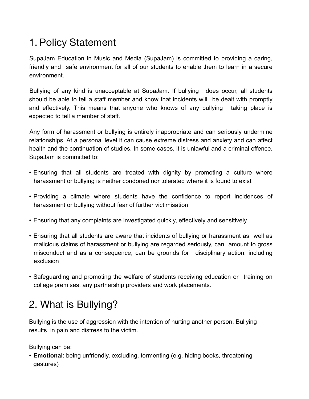# 1. Policy Statement

SupaJam Education in Music and Media (SupaJam) is committed to providing a caring, friendly and safe environment for all of our students to enable them to learn in a secure environment.

Bullying of any kind is unacceptable at SupaJam. If bullying does occur, all students should be able to tell a staff member and know that incidents will be dealt with promptly and effectively. This means that anyone who knows of any bullying taking place is expected to tell a member of staff.

Any form of harassment or bullying is entirely inappropriate and can seriously undermine relationships. At a personal level it can cause extreme distress and anxiety and can affect health and the continuation of studies. In some cases, it is unlawful and a criminal offence. SupaJam is committed to:

- Ensuring that all students are treated with dignity by promoting a culture where harassment or bullying is neither condoned nor tolerated where it is found to exist
- Providing a climate where students have the confidence to report incidences of harassment or bullying without fear of further victimisation
- Ensuring that any complaints are investigated quickly, effectively and sensitively
- Ensuring that all students are aware that incidents of bullying or harassment as well as malicious claims of harassment or bullying are regarded seriously, can amount to gross misconduct and as a consequence, can be grounds for disciplinary action, including exclusion
- Safeguarding and promoting the welfare of students receiving education or training on college premises, any partnership providers and work placements.

## 2. What is Bullying?

Bullying is the use of aggression with the intention of hurting another person. Bullying results in pain and distress to the victim.

Bullying can be:

• **Emotional**: being unfriendly, excluding, tormenting (e.g. hiding books, threatening gestures)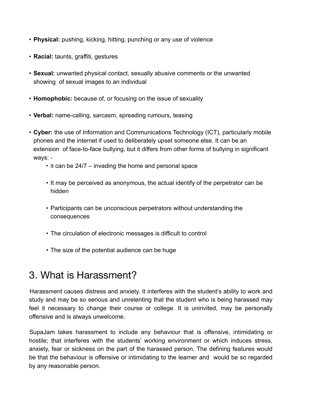- **Physical:** pushing, kicking, hitting, punching or any use of violence
- **Racial:** taunts, graffiti, gestures
- **Sexual:** unwanted physical contact, sexually abusive comments or the unwanted showing of sexual images to an individual
- **Homophobic:** because of, or focusing on the issue of sexuality
- **Verbal:** name-calling, sarcasm, spreading rumours, teasing
- **Cyber:** the use of Information and Communications Technology (ICT), particularly mobile phones and the internet if used to deliberately upset someone else. It can be an extension of face-to-face bullying, but it differs from other forms of bullying in significant ways: -
	- It can be 24/7 invading the home and personal space
	- It may be perceived as anonymous, the actual identify of the perpetrator can be hidden
	- Participants can be unconscious perpetrators without understanding the consequences
	- The circulation of electronic messages is difficult to control
	- The size of the potential audience can be huge

#### 3. What is Harassment?

Harassment causes distress and anxiety. It interferes with the student's ability to work and study and may be so serious and unrelenting that the student who is being harassed may feel it necessary to change their course or college. It is uninvited, may be personally offensive and is always unwelcome.

SupaJam takes harassment to include any behaviour that is offensive, intimidating or hostile; that interferes with the students' working environment or which induces stress, anxiety, fear or sickness on the part of the harassed person. The defining features would be that the behaviour is offensive or intimidating to the learner and would be so regarded by any reasonable person.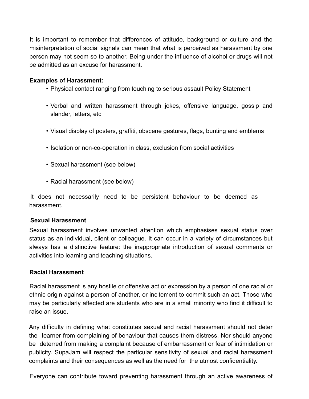It is important to remember that differences of attitude, background or culture and the misinterpretation of social signals can mean that what is perceived as harassment by one person may not seem so to another. Being under the influence of alcohol or drugs will not be admitted as an excuse for harassment.

#### **Examples of Harassment:**

- Physical contact ranging from touching to serious assault Policy Statement
- Verbal and written harassment through jokes, offensive language, gossip and slander, letters, etc
- Visual display of posters, graffiti, obscene gestures, flags, bunting and emblems
- Isolation or non-co-operation in class, exclusion from social activities
- Sexual harassment (see below)
- Racial harassment (see below)

It does not necessarily need to be persistent behaviour to be deemed as harassment.

#### **Sexual Harassment**

Sexual harassment involves unwanted attention which emphasises sexual status over status as an individual, client or colleague. It can occur in a variety of circumstances but always has a distinctive feature: the inappropriate introduction of sexual comments or activities into learning and teaching situations.

#### **Racial Harassment**

Racial harassment is any hostile or offensive act or expression by a person of one racial or ethnic origin against a person of another, or incitement to commit such an act. Those who may be particularly affected are students who are in a small minority who find it difficult to raise an issue.

Any difficulty in defining what constitutes sexual and racial harassment should not deter the learner from complaining of behaviour that causes them distress. Nor should anyone be deterred from making a complaint because of embarrassment or fear of intimidation or publicity. SupaJam will respect the particular sensitivity of sexual and racial harassment complaints and their consequences as well as the need for the utmost confidentiality.

Everyone can contribute toward preventing harassment through an active awareness of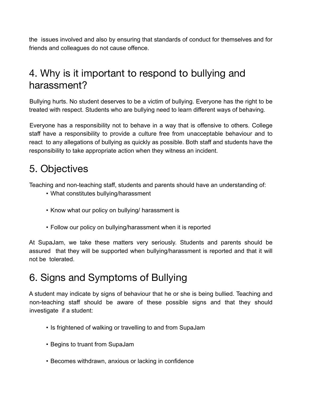the issues involved and also by ensuring that standards of conduct for themselves and for friends and colleagues do not cause offence.

### 4. Why is it important to respond to bullying and harassment?

Bullying hurts. No student deserves to be a victim of bullying. Everyone has the right to be treated with respect. Students who are bullying need to learn different ways of behaving.

Everyone has a responsibility not to behave in a way that is offensive to others. College staff have a responsibility to provide a culture free from unacceptable behaviour and to react to any allegations of bullying as quickly as possible. Both staff and students have the responsibility to take appropriate action when they witness an incident.

## 5. Objectives

Teaching and non-teaching staff, students and parents should have an understanding of:

- What constitutes bullying/harassment
- Know what our policy on bullying/ harassment is
- Follow our policy on bullying/harassment when it is reported

At SupaJam, we take these matters very seriously. Students and parents should be assured that they will be supported when bullying/harassment is reported and that it will not be tolerated.

#### 6. Signs and Symptoms of Bullying

A student may indicate by signs of behaviour that he or she is being bullied. Teaching and non-teaching staff should be aware of these possible signs and that they should investigate if a student:

- Is frightened of walking or travelling to and from SupaJam
- Begins to truant from SupaJam
- Becomes withdrawn, anxious or lacking in confidence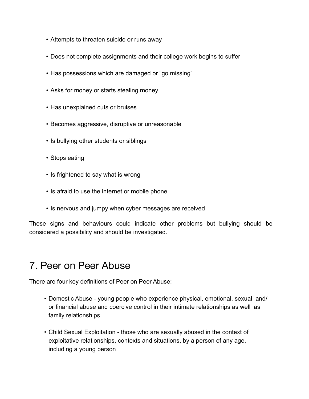- Attempts to threaten suicide or runs away
- Does not complete assignments and their college work begins to suffer
- Has possessions which are damaged or "go missing"
- Asks for money or starts stealing money
- Has unexplained cuts or bruises
- Becomes aggressive, disruptive or unreasonable
- Is bullying other students or siblings
- Stops eating
- Is frightened to say what is wrong
- Is afraid to use the internet or mobile phone
- Is nervous and jumpy when cyber messages are received

These signs and behaviours could indicate other problems but bullying should be considered a possibility and should be investigated.

#### 7. Peer on Peer Abuse

There are four key definitions of Peer on Peer Abuse:

- Domestic Abuse young people who experience physical, emotional, sexual and/ or financial abuse and coercive control in their intimate relationships as well as family relationships
- Child Sexual Exploitation those who are sexually abused in the context of exploitative relationships, contexts and situations, by a person of any age, including a young person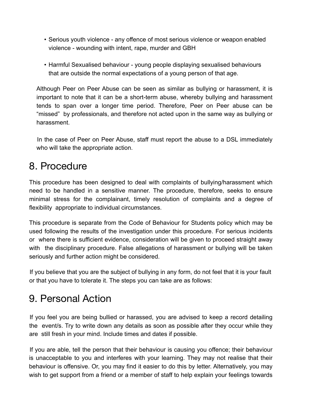- Serious youth violence any offence of most serious violence or weapon enabled violence - wounding with intent, rape, murder and GBH
- Harmful Sexualised behaviour young people displaying sexualised behaviours that are outside the normal expectations of a young person of that age.

Although Peer on Peer Abuse can be seen as similar as bullying or harassment, it is important to note that it can be a short-term abuse, whereby bullying and harassment tends to span over a longer time period. Therefore, Peer on Peer abuse can be "missed" by professionals, and therefore not acted upon in the same way as bullying or harassment.

In the case of Peer on Peer Abuse, staff must report the abuse to a DSL immediately who will take the appropriate action.

### 8. Procedure

This procedure has been designed to deal with complaints of bullying/harassment which need to be handled in a sensitive manner. The procedure, therefore, seeks to ensure minimal stress for the complainant, timely resolution of complaints and a degree of flexibility appropriate to individual circumstances.

This procedure is separate from the Code of Behaviour for Students policy which may be used following the results of the investigation under this procedure. For serious incidents or where there is sufficient evidence, consideration will be given to proceed straight away with the disciplinary procedure. False allegations of harassment or bullying will be taken seriously and further action might be considered.

If you believe that you are the subject of bullying in any form, do not feel that it is your fault or that you have to tolerate it. The steps you can take are as follows:

## 9. Personal Action

If you feel you are being bullied or harassed, you are advised to keep a record detailing the event/s. Try to write down any details as soon as possible after they occur while they are still fresh in your mind. Include times and dates if possible.

If you are able, tell the person that their behaviour is causing you offence; their behaviour is unacceptable to you and interferes with your learning. They may not realise that their behaviour is offensive. Or, you may find it easier to do this by letter. Alternatively, you may wish to get support from a friend or a member of staff to help explain your feelings towards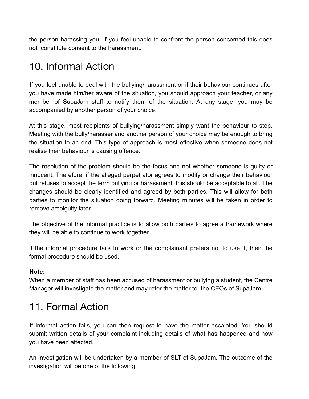the person harassing you. If you feel unable to confront the person concerned this does not constitute consent to the harassment.

## 10. Informal Action

If you feel unable to deal with the bullying/harassment or if their behaviour continues after you have made him/her aware of the situation, you should approach your teacher, or any member of SupaJam staff to notify them of the situation. At any stage, you may be accompanied by another person of your choice.

At this stage, most recipients of bullying/harassment simply want the behaviour to stop. Meeting with the bully/harasser and another person of your choice may be enough to bring the situation to an end. This type of approach is most effective when someone does not realise their behaviour is causing offence.

The resolution of the problem should be the focus and not whether someone is guilty or innocent. Therefore, if the alleged perpetrator agrees to modify or change their behaviour but refuses to accept the term bullying or harassment, this should be acceptable to all. The changes should be clearly identified and agreed by both parties. This will allow for both parties to monitor the situation going forward. Meeting minutes will be taken in order to remove ambiguity later.

The objective of the informal practice is to allow both parties to agree a framework where they will be able to continue to work together.

If the informal procedure fails to work or the complainant prefers not to use it, then the formal procedure should be used.

#### **Note:**

When a member of staff has been accused of harassment or bullying a student, the Centre Manager will investigate the matter and may refer the matter to the CEOs of SupaJam.

## 11. Formal Action

If informal action fails, you can then request to have the matter escalated. You should submit written details of your complaint including details of what has happened and how you have been affected.

An investigation will be undertaken by a member of SLT of SupaJam. The outcome of the investigation will be one of the following: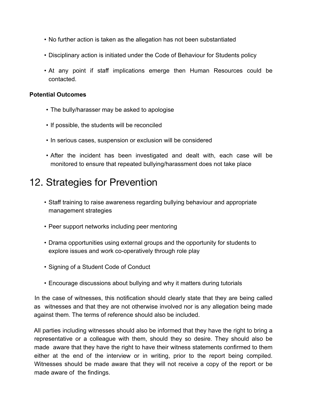- No further action is taken as the allegation has not been substantiated
- Disciplinary action is initiated under the Code of Behaviour for Students policy
- At any point if staff implications emerge then Human Resources could be contacted.

#### **Potential Outcomes**

- The bully/harasser may be asked to apologise
- If possible, the students will be reconciled
- In serious cases, suspension or exclusion will be considered
- After the incident has been investigated and dealt with, each case will be monitored to ensure that repeated bullying/harassment does not take place

#### 12. Strategies for Prevention

- Staff training to raise awareness regarding bullying behaviour and appropriate management strategies
- Peer support networks including peer mentoring
- Drama opportunities using external groups and the opportunity for students to explore issues and work co-operatively through role play
- Signing of a Student Code of Conduct
- Encourage discussions about bullying and why it matters during tutorials

In the case of witnesses, this notification should clearly state that they are being called as witnesses and that they are not otherwise involved nor is any allegation being made against them. The terms of reference should also be included.

All parties including witnesses should also be informed that they have the right to bring a representative or a colleague with them, should they so desire. They should also be made aware that they have the right to have their witness statements confirmed to them either at the end of the interview or in writing, prior to the report being compiled. Witnesses should be made aware that they will not receive a copy of the report or be made aware of the findings.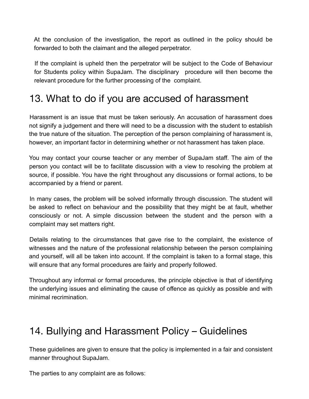At the conclusion of the investigation, the report as outlined in the policy should be forwarded to both the claimant and the alleged perpetrator.

If the complaint is upheld then the perpetrator will be subject to the Code of Behaviour for Students policy within SupaJam. The disciplinary procedure will then become the relevant procedure for the further processing of the complaint.

### 13. What to do if you are accused of harassment

Harassment is an issue that must be taken seriously. An accusation of harassment does not signify a judgement and there will need to be a discussion with the student to establish the true nature of the situation. The perception of the person complaining of harassment is, however, an important factor in determining whether or not harassment has taken place.

You may contact your course teacher or any member of SupaJam staff. The aim of the person you contact will be to facilitate discussion with a view to resolving the problem at source, if possible. You have the right throughout any discussions or formal actions, to be accompanied by a friend or parent.

In many cases, the problem will be solved informally through discussion. The student will be asked to reflect on behaviour and the possibility that they might be at fault, whether consciously or not. A simple discussion between the student and the person with a complaint may set matters right.

Details relating to the circumstances that gave rise to the complaint, the existence of witnesses and the nature of the professional relationship between the person complaining and yourself, will all be taken into account. If the complaint is taken to a formal stage, this will ensure that any formal procedures are fairly and properly followed.

Throughout any informal or formal procedures, the principle objective is that of identifying the underlying issues and eliminating the cause of offence as quickly as possible and with minimal recrimination.

#### 14. Bullying and Harassment Policy – Guidelines

These guidelines are given to ensure that the policy is implemented in a fair and consistent manner throughout SupaJam.

The parties to any complaint are as follows: